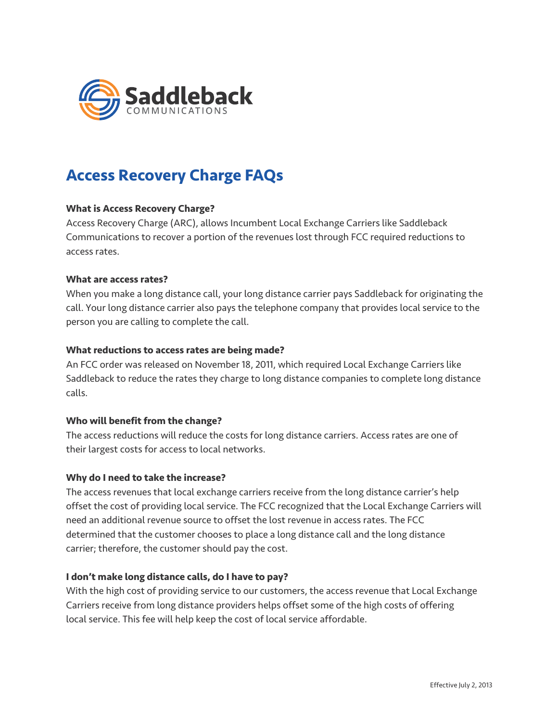

# **Access Recovery Charge FAQs**

### **What is Access Recovery Charge?**

Access Recovery Charge (ARC), allows Incumbent Local Exchange Carriers like Saddleback Communications to recover a portion of the revenues lost through FCC required reductions to access rates.

#### **What are access rates?**

When you make a long distance call, your long distance carrier pays Saddleback for originating the call. Your long distance carrier also pays the telephone company that provides local service to the person you are calling to complete the call.

#### **What reductions to access rates are being made?**

An FCC order was released on November 18, 2011, which required Local Exchange Carriers like Saddleback to reduce the rates they charge to long distance companies to complete long distance calls.

#### **Who will benefit from the change?**

The access reductions will reduce the costs for long distance carriers. Access rates are one of their largest costs for access to local networks.

#### **Why do I need to take the increase?**

The access revenues that local exchange carriers receive from the long distance carrier's help offset the cost of providing local service. The FCC recognized that the Local Exchange Carriers will need an additional revenue source to offset the lost revenue in access rates. The FCC determined that the customer chooses to place a long distance call and the long distance carrier; therefore, the customer should pay the cost.

#### **I don't make long distance calls, do I have to pay?**

With the high cost of providing service to our customers, the access revenue that Local Exchange Carriers receive from long distance providers helps offset some of the high costs of offering local service. This fee will help keep the cost of local service affordable.